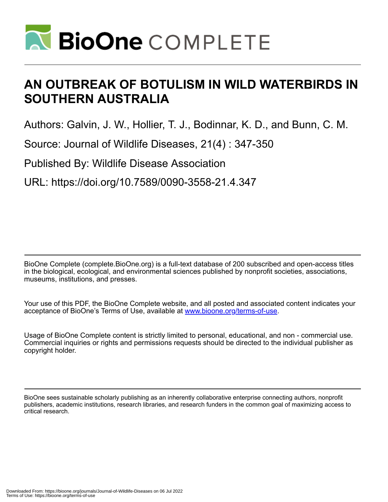

# **AN OUTBREAK OF BOTULISM IN WILD WATERBIRDS IN SOUTHERN AUSTRALIA**

Authors: Galvin, J. W., Hollier, T. J., Bodinnar, K. D., and Bunn, C. M.

Source: Journal of Wildlife Diseases, 21(4) : 347-350

Published By: Wildlife Disease Association

URL: https://doi.org/10.7589/0090-3558-21.4.347

BioOne Complete (complete.BioOne.org) is a full-text database of 200 subscribed and open-access titles in the biological, ecological, and environmental sciences published by nonprofit societies, associations, museums, institutions, and presses.

Your use of this PDF, the BioOne Complete website, and all posted and associated content indicates your acceptance of BioOne's Terms of Use, available at www.bioone.org/terms-of-use.

Usage of BioOne Complete content is strictly limited to personal, educational, and non - commercial use. Commercial inquiries or rights and permissions requests should be directed to the individual publisher as copyright holder.

BioOne sees sustainable scholarly publishing as an inherently collaborative enterprise connecting authors, nonprofit publishers, academic institutions, research libraries, and research funders in the common goal of maximizing access to critical research.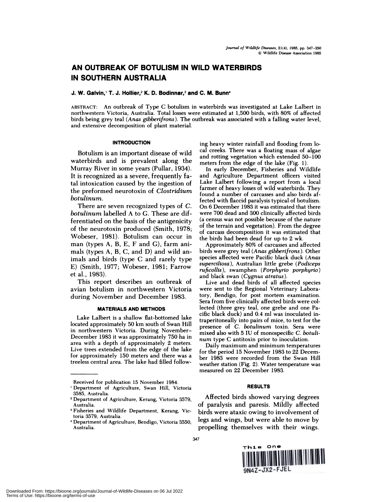# **AN OUTBREAK OF BOTULISM IN WILD WATERBIRDS IN SOUTHERN AUSTRALIA**

#### **J. W. Galvin, T. J. Hollier,2 K.0. Bodinnar,3 and C. M. Bunn4**

**ABSTRACT: An outbreak of Type C botulism in waterbirds was investigated at Lake Lalbert in northwestern Victoria, Australia. Total losses were estimated at 1,500 birds, with 80% of affected birds being grey teal** *(Anas gibberifrons).* **The outbreak was associated with a falling water level, and extensive decomposition of plant material.**

## **INTRODUCTION**

**Botulism is an important disease of wild waterbirds and is prevalent along the Murray River in some years (Pullar, 1934). It is recognized as a severe, frequently fatal intoxication caused by the ingestion of the preformed neurotoxin of** *Clostridium hot ulinum.*

**There are seven recognized** types **of** *C. hotulinum* **labelled A to G.These are differentiated on the basis of the antigenicity of the neurotoxin produced (Smith, 1978; Wobeser, 1981). Botulism can occur in man (types A, B, E, F and G), farm animals (types A, B, C, and D) and wild animals and birds (type C and rarely type E) (Smith, 1977; Wobeser, 1981; Farrow et al., 1983).**

**This report describes an outbreak of avian botulism in northwestern Victoria during November and December 1983.**

#### **MATERIALS AND METHODS**

**Lake Lalbert is a shallow flat-bottomed lake located approximately 50 km south of Swan Hill in northwestern Victoria. During November-December 1983** it **was approximately 750 ha in area with a depth of approximately 2 meters. Live trees extended from the edge of the lake for approximately 150 meters and there was a treeless central area. The lake had filled follow-** **ing heavy winter rainfall and flooding from local creeks. There was a floating mass of algae and rotting vegetation which extended** 50-100 **meters from the edge of the lake (Fig. 1).**

**In early December, Fisheries and Wildlife and Agriculture Department officers visited Lake Lalbert following a report from a local farmer of heavy losses of wild waterbirds. They found a number of carcasses and also birds affected with flaccid paralysis typical of botulism. On 6 December 1983** it **was estimated that there were** 700 **dead and** 300 **clinically affected birds (a census was not possible because of the nature of the terrain and vegetation). From the degree of carcass decomposition** it **was estimated that the birds had been dead for up to 2 wk.**

**Approximately 80% of carcasses and affected birds were grey teal** *(Anas gibberifrons).* **Other species affected were Pacific black duck** *(Anas superciliosa),* **Australian little grebe** *(Podiceps ruficollis),* **swamphen** *(Porphyrio porphyrio)* **and black swan (Cygnus** *atratus).*

**Live and dead birds of all affected species were sent to the Regional Veterinary Laboratory, Bendigo, for post mortem examination. Sera from five clinically affected birds were collected (three grey teal, one grebe and one Pacific black duck) and 0.4 ml was inoculated intraperitoneally into pairs of mice, to test for the presence of** *C. botulinum* **toxin. Sera were mixed also with 5 IU of monospecific** *C. botuli num* **type C antitoxin prior to inoculation.**

**Daily maximum and minimum temperatures for the** period **15 November 1983 to 22 December** 1983 **were recorded from the Swan Hill weather station (Fig. 2). Water temperature was measured on 22 December 1983.**

## **RESULTS**

**Affected birds showed varying degrees of paralysis and paresis. Mildly affected birds were ataxic owing to involvement of legs and wings, but were able to move by propelling themselves with their wings.**





**Received for publication** 15 November 1984.

Department of Agriculture, Swan Hill, Victoria **3585,** Australia.

<sup>2</sup> Department of Agriculture, Kerang, Victoria 3579, Australia.

Fisheries and Wildlife Department, Kerang, Victoria 3579, Australia.

Department of Agriculture, Bendigo, Victoria 3550, Australia.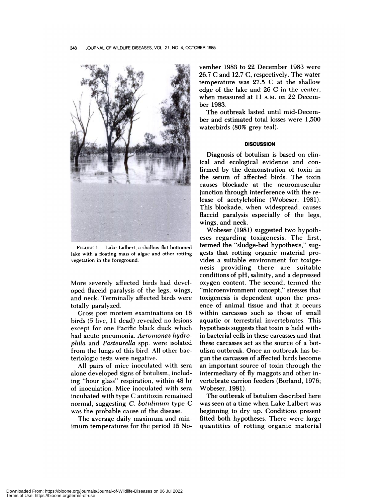

FIGURE 1. Lake Lalbert, a shallow flat bottomed lake with a floating mass of algae and other rotting vegetation in the foreground.

More severely affected birds had developed flaccid paralysis of the legs, wings, **and neck. Terminally affected birds were** totally paralyzed.

Gross post mortem examinations on 16 birds (5 live, 11 dead) revealed no lesions except for one Pacific black duck which had acute pneumonia. *Aeromonas hydrophila* **and** *Pasteurella* spp. were isolated **from the lungs of this bird. All other bac**teriologic tests were negative.

**All pairs of mice inoculated with sera** alone developed signs of botulism, includ**ing "hour glass" respiration, within 48** hr of inoculation. Mice inoculated with sera incubated with type C antitoxin remained normal, suggesting *C. botulinum* type C was the probable cause of the disease.

The average daily maximum and min**imum temperatures for the period 15** No**vember 1983** to 22 December 1983 were 26.7 **C and 12.7 C, respectively. The water temperature was 27.5 C at the shallow** edge of the lake and 26 **C in the center,** when measured at 11 A.M. on 22 December 1983.

The outbreak lasted until mid-December and estimated total losses were 1 ,500 waterbirds (80% grey teal).

#### **DISCUSSION**

**Diagnosis of botulism is based on clinical and ecological evidence and confirmed by the demonstration of toxin in the serum of affected birds. The toxin causes blockade at the neuromuscular junction through interference with the release of acetylcholine (Wobeser, 1981). This blockade, when widespread, causes flaccid paralysis especially of the legs, wings, and neck.**

**Wobeser (1981) suggested two hypoth eses regarding toxigenesis. The first, termed the "sludge-bed hypothesis," suggests that rotting organic material provides a suitable environment for toxige**nesis providing there are suitable **conditions of** pH, salinity, and a depressed **oxygen content. The second, termed the** "microenvironment concept," stresses that **toxigenesis is dependent upon the pres ence of animal tissue and that it occurs within carcasses such as those of small aquatic or terrestrial invertebrates. This hypothesis suggests that toxin is held within bacterial cells in these carcasses and that these carcasses act as the source of a bot**ulism outbreak. Once an outbreak has begun the carcasses of affected birds become an important source of toxin through the intermediary of fly maggots and other invertebrate carrion feeders (Borland, 1976; Wobeser, 1981).

The outbreak of botulism described here was seen at a time when Lake Lalbert was beginning to dry up. Conditions present fitted both hypotheses. There were large quantities of rotting organic material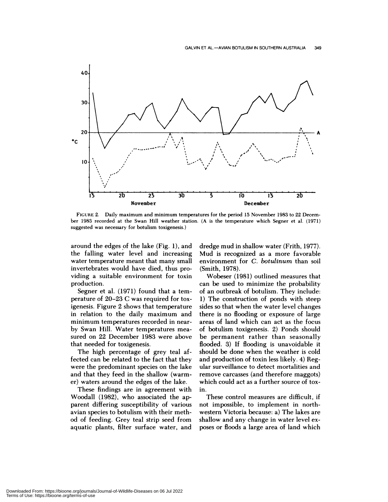

**FIGURE 2. Daily maximum and minimum temperatures for the** period **15** November 1983 to 22 Decem ber 1983 recorded at the Swan Hill weather station. (A is the temperature which Segner et al. (1971) **suggested was necessary for botulism toxigenesis.)**

around the edges of the lake (Fig. 1), and the falling water level and increasing water temperature meant that many small invertebrates would have died, thus providing a suitable environment for toxin production.

Segner et al. (1971) found that a temperature of  $20-23$  C was required for toxigenesis. Figure 2 shows that temperature in relation to the daily maximum and minimum temperatures recorded in near by Swan Hill. Water temperatures mea sured on 22 December 1983 were above that needed for toxigenesis.

The high percentage of grey teal affected can be related to the fact that they were the predominant species on the lake and that they feed in the shallow (warmer) waters around the edges of the lake.

These findings are in agreement with Woodall (1982), who associated the apparent differing susceptibility of various avian species to botulism with their method of feeding. Grey teal strip seed from aquatic plants, filter surface water, and

dredge mud in shallow water (Frith, 1977). Mud is recognized as a more favorable environment for *C. botulinum* than soil (Smith, 1978).

Wobeser (1981) outlined measures that can be used to minimize the probability of an outbreak of botulism. They include: 1) The construction of ponds with steep sides so that when the water level changes there is no flooding or exposure of large areas of land which can act as the focus of botulism toxigenesis. 2) Ponds should be permanent rather than seasonally flooded. 3) If flooding is unavoidable it should be done when the weather is cold and production of toxin less likely. 4) Regular surveillance to detect mortalities and remove carcasses (and therefore maggots) which could act as a further source of toxin.

These control measures are difficult, if not impossible, to implement in northwestern Victoria because: a) The lakes are shallow and any change in water level ex poses or floods a large area of land which